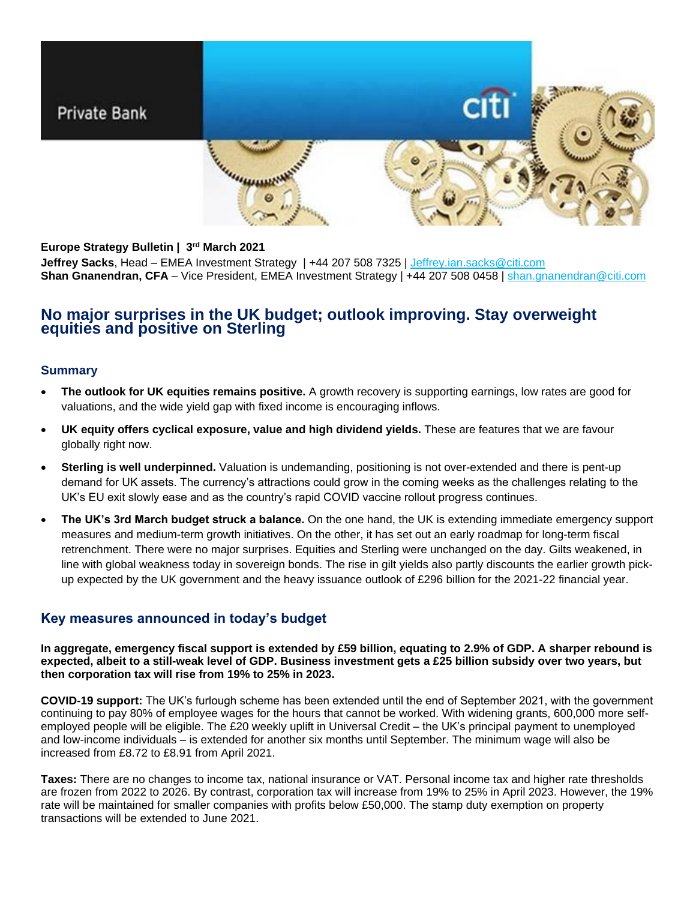# Private Bank



### **Europe Strategy Bulletin | 3 rd March 2021**

**Jeffrey Sacks**, Head – EMEA Investment Strategy | +44 207 508 7325 | [Jeffrey.ian.sacks@citi.com](mailto:Jeffrey.ian.sacks@citi.com) **Shan Gnanendran, CFA** – Vice President, EMEA Investment Strategy | +44 207 508 0458 | [shan.gnanendran@citi.com](mailto:shan.gnanendran@citi.com)

### **No major surprises in the UK budget; outlook improving. Stay overweight equities and positive on Sterling**

#### **Summary**

- **The outlook for UK equities remains positive.** A growth recovery is supporting earnings, low rates are good for valuations, and the wide yield gap with fixed income is encouraging inflows.
- **UK equity offers cyclical exposure, value and high dividend yields.** These are features that we are favour globally right now.
- **Sterling is well underpinned.** Valuation is undemanding, positioning is not over-extended and there is pent-up demand for UK assets. The currency's attractions could grow in the coming weeks as the challenges relating to the UK's EU exit slowly ease and as the country's rapid COVID vaccine rollout progress continues.
- **The UK's 3rd March budget struck a balance.** On the one hand, the UK is extending immediate emergency support measures and medium-term growth initiatives. On the other, it has set out an early roadmap for long-term fiscal retrenchment. There were no major surprises. Equities and Sterling were unchanged on the day. Gilts weakened, in line with global weakness today in sovereign bonds. The rise in gilt yields also partly discounts the earlier growth pickup expected by the UK government and the heavy issuance outlook of £296 billion for the 2021-22 financial year.

### **Key measures announced in today's budget**

**In aggregate, emergency fiscal support is extended by £59 billion, equating to 2.9% of GDP. A sharper rebound is expected, albeit to a still-weak level of GDP. Business investment gets a £25 billion subsidy over two years, but then corporation tax will rise from 19% to 25% in 2023.**

**COVID-19 support:** The UK's furlough scheme has been extended until the end of September 2021, with the government continuing to pay 80% of employee wages for the hours that cannot be worked. With widening grants, 600,000 more selfemployed people will be eligible. The £20 weekly uplift in Universal Credit – the UK's principal payment to unemployed and low-income individuals – is extended for another six months until September. The minimum wage will also be increased from £8.72 to £8.91 from April 2021.

**Taxes:** There are no changes to income tax, national insurance or VAT. Personal income tax and higher rate thresholds are frozen from 2022 to 2026. By contrast, corporation tax will increase from 19% to 25% in April 2023. However, the 19% rate will be maintained for smaller companies with profits below £50,000. The stamp duty exemption on property transactions will be extended to June 2021.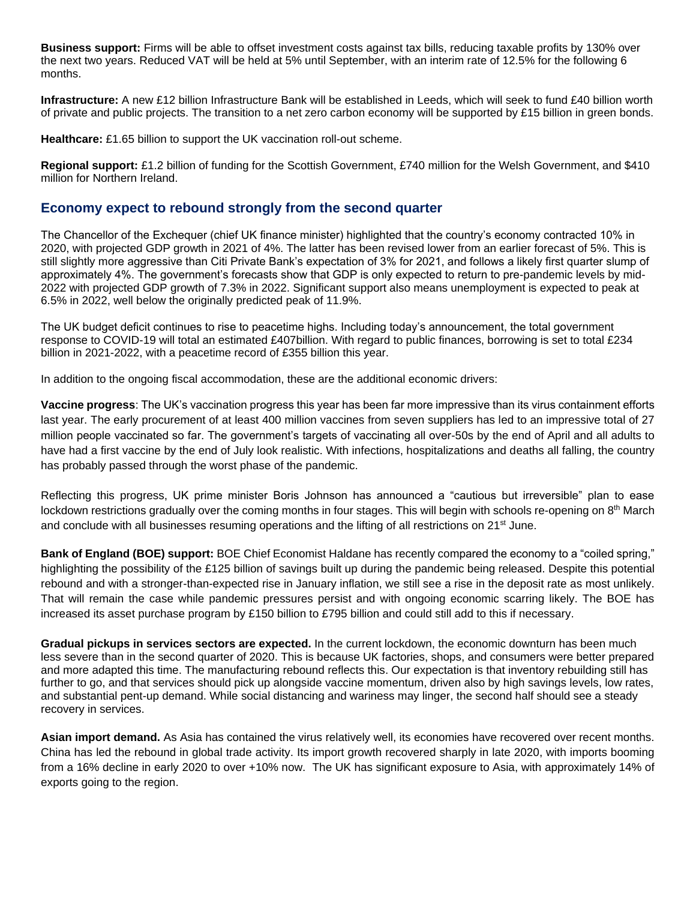**Business support:** Firms will be able to offset investment costs against tax bills, reducing taxable profits by 130% over the next two years. Reduced VAT will be held at 5% until September, with an interim rate of 12.5% for the following 6 months.

**Infrastructure:** A new £12 billion Infrastructure Bank will be established in Leeds, which will seek to fund £40 billion worth of private and public projects. The transition to a net zero carbon economy will be supported by £15 billion in green bonds.

**Healthcare:** £1.65 billion to support the UK vaccination roll-out scheme.

**Regional support:** £1.2 billion of funding for the Scottish Government, £740 million for the Welsh Government, and \$410 million for Northern Ireland.

### **Economy expect to rebound strongly from the second quarter**

The Chancellor of the Exchequer (chief UK finance minister) highlighted that the country's economy contracted 10% in 2020, with projected GDP growth in 2021 of 4%. The latter has been revised lower from an earlier forecast of 5%. This is still slightly more aggressive than Citi Private Bank's expectation of 3% for 2021, and follows a likely first quarter slump of approximately 4%. The government's forecasts show that GDP is only expected to return to pre-pandemic levels by mid-2022 with projected GDP growth of 7.3% in 2022. Significant support also means unemployment is expected to peak at 6.5% in 2022, well below the originally predicted peak of 11.9%.

The UK budget deficit continues to rise to peacetime highs. Including today's announcement, the total government response to COVID-19 will total an estimated £407billion. With regard to public finances, borrowing is set to total £234 billion in 2021-2022, with a peacetime record of £355 billion this year.

In addition to the ongoing fiscal accommodation, these are the additional economic drivers:

**Vaccine progress**: The UK's vaccination progress this year has been far more impressive than its virus containment efforts last year. The early procurement of at least 400 million vaccines from seven suppliers has led to an impressive total of 27 million people vaccinated so far. The government's targets of vaccinating all over-50s by the end of April and all adults to have had a first vaccine by the end of July look realistic. With infections, hospitalizations and deaths all falling, the country has probably passed through the worst phase of the pandemic.

Reflecting this progress, UK prime minister Boris Johnson has announced a "cautious but irreversible" plan to ease lockdown restrictions gradually over the coming months in four stages. This will begin with schools re-opening on 8<sup>th</sup> March and conclude with all businesses resuming operations and the lifting of all restrictions on 21<sup>st</sup> June.

**Bank of England (BOE) support:** BOE Chief Economist Haldane has recently compared the economy to a "coiled spring," highlighting the possibility of the £125 billion of savings built up during the pandemic being released. Despite this potential rebound and with a stronger-than-expected rise in January inflation, we still see a rise in the deposit rate as most unlikely. That will remain the case while pandemic pressures persist and with ongoing economic scarring likely. The BOE has increased its asset purchase program by £150 billion to £795 billion and could still add to this if necessary.

**Gradual pickups in services sectors are expected.** In the current lockdown, the economic downturn has been much less severe than in the second quarter of 2020. This is because UK factories, shops, and consumers were better prepared and more adapted this time. The manufacturing rebound reflects this. Our expectation is that inventory rebuilding still has further to go, and that services should pick up alongside vaccine momentum, driven also by high savings levels, low rates, and substantial pent-up demand. While social distancing and wariness may linger, the second half should see a steady recovery in services.

**Asian import demand.** As Asia has contained the virus relatively well, its economies have recovered over recent months. China has led the rebound in global trade activity. Its import growth recovered sharply in late 2020, with imports booming from a 16% decline in early 2020 to over +10% now. The UK has significant exposure to Asia, with approximately 14% of exports going to the region.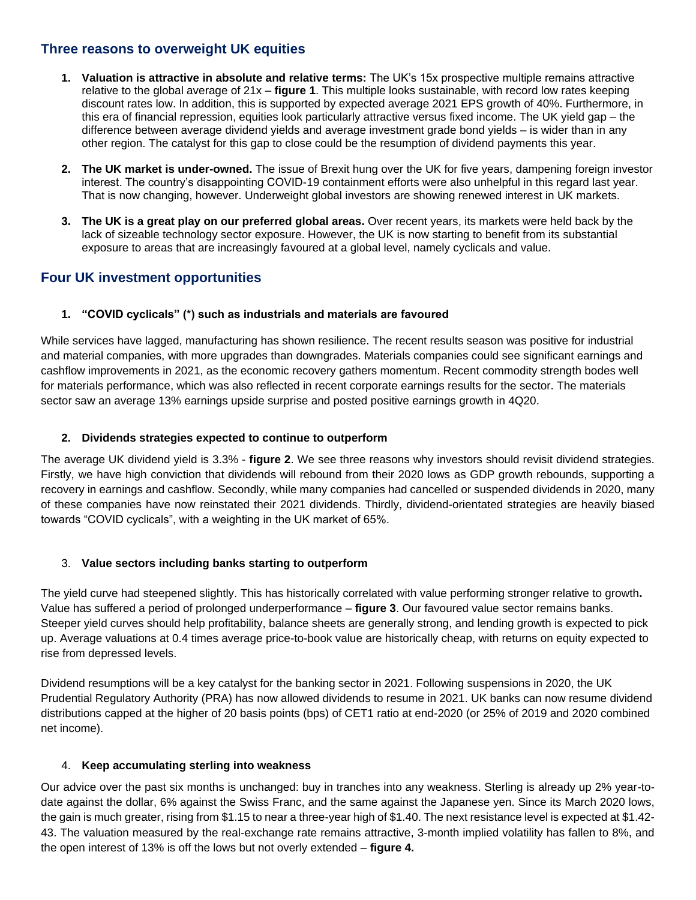### **Three reasons to overweight UK equities**

- **1. Valuation is attractive in absolute and relative terms:** The UK's 15x prospective multiple remains attractive relative to the global average of 21x – **figure 1**. This multiple looks sustainable, with record low rates keeping discount rates low. In addition, this is supported by expected average 2021 EPS growth of 40%. Furthermore, in this era of financial repression, equities look particularly attractive versus fixed income. The UK yield gap – the difference between average dividend yields and average investment grade bond yields – is wider than in any other region. The catalyst for this gap to close could be the resumption of dividend payments this year.
- **2. The UK market is under-owned.** The issue of Brexit hung over the UK for five years, dampening foreign investor interest. The country's disappointing COVID-19 containment efforts were also unhelpful in this regard last year. That is now changing, however. Underweight global investors are showing renewed interest in UK markets.
- **3. The UK is a great play on our preferred global areas.** Over recent years, its markets were held back by the lack of sizeable technology sector exposure. However, the UK is now starting to benefit from its substantial exposure to areas that are increasingly favoured at a global level, namely cyclicals and value.

## **Four UK investment opportunities**

### **1. "COVID cyclicals" (\*) such as industrials and materials are favoured**

While services have lagged, manufacturing has shown resilience. The recent results season was positive for industrial and material companies, with more upgrades than downgrades. Materials companies could see significant earnings and cashflow improvements in 2021, as the economic recovery gathers momentum. Recent commodity strength bodes well for materials performance, which was also reflected in recent corporate earnings results for the sector. The materials sector saw an average 13% earnings upside surprise and posted positive earnings growth in 4Q20.

### **2. Dividends strategies expected to continue to outperform**

The average UK dividend yield is 3.3% - **figure 2**. We see three reasons why investors should revisit dividend strategies. Firstly, we have high conviction that dividends will rebound from their 2020 lows as GDP growth rebounds, supporting a recovery in earnings and cashflow. Secondly, while many companies had cancelled or suspended dividends in 2020, many of these companies have now reinstated their 2021 dividends. Thirdly, dividend-orientated strategies are heavily biased towards "COVID cyclicals", with a weighting in the UK market of 65%.

### 3. **Value sectors including banks starting to outperform**

The yield curve had steepened slightly. This has historically correlated with value performing stronger relative to growth**.** Value has suffered a period of prolonged underperformance – **figure 3**. Our favoured value sector remains banks. Steeper yield curves should help profitability, balance sheets are generally strong, and lending growth is expected to pick up. Average valuations at 0.4 times average price-to-book value are historically cheap, with returns on equity expected to rise from depressed levels.

Dividend resumptions will be a key catalyst for the banking sector in 2021. Following suspensions in 2020, the UK Prudential Regulatory Authority (PRA) has now allowed dividends to resume in 2021. UK banks can now resume dividend distributions capped at the higher of 20 basis points (bps) of CET1 ratio at end-2020 (or 25% of 2019 and 2020 combined net income).

### 4. **Keep accumulating sterling into weakness**

Our advice over the past six months is unchanged: buy in tranches into any weakness. Sterling is already up 2% year-todate against the dollar, 6% against the Swiss Franc, and the same against the Japanese yen. Since its March 2020 lows, the gain is much greater, rising from \$1.15 to near a three-year high of \$1.40. The next resistance level is expected at \$1.42- 43. The valuation measured by the real-exchange rate remains attractive, 3-month implied volatility has fallen to 8%, and the open interest of 13% is off the lows but not overly extended – **figure 4.**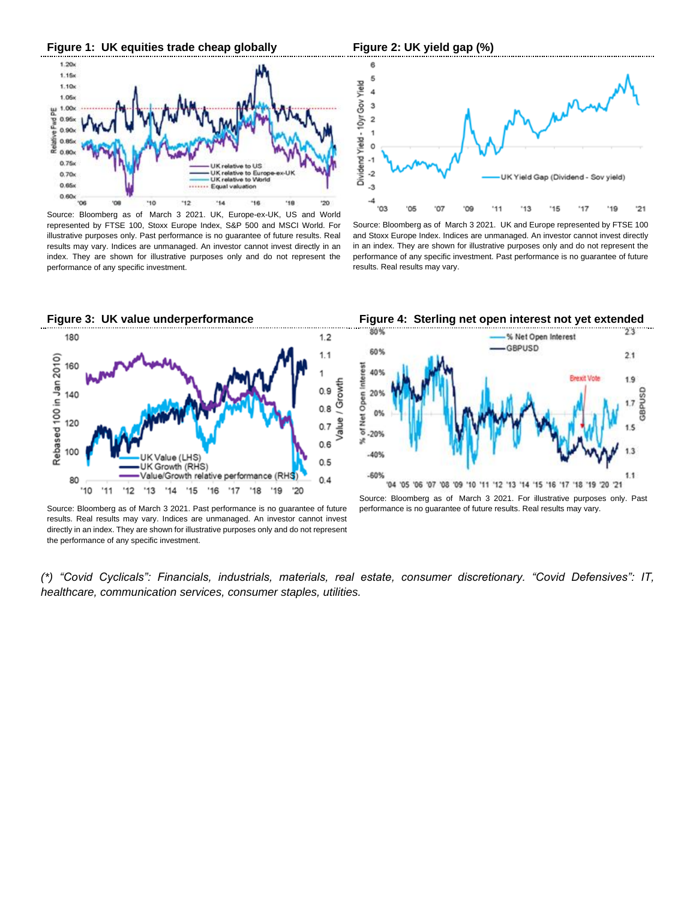

Source: Bloomberg as of March 3 2021. UK, Europe-ex-UK, US and World represented by FTSE 100, Stoxx Europe Index, S&P 500 and MSCI World. For illustrative purposes only. Past performance is no guarantee of future results. Real results may vary. Indices are unmanaged. An investor cannot invest directly in an index. They are shown for illustrative purposes only and do not represent the performance of any specific investment.



Source: Bloomberg as of March 3 2021. UK and Europe represented by FTSE 100 and Stoxx Europe Index. Indices are unmanaged. An investor cannot invest directly in an index. They are shown for illustrative purposes only and do not represent the performance of any specific investment. Past performance is no guarantee of future results. Real results may vary.



Source: Bloomberg as of March 3 2021. Past performance is no guarantee of future results. Real results may vary. Indices are unmanaged. An investor cannot invest directly in an index. They are shown for illustrative purposes only and do not represent the performance of any specific investment.



Source: Bloomberg as of March 3 2021. For illustrative purposes only. Past performance is no guarantee of future results. Real results may vary.

*(\*) "Covid Cyclicals": Financials, industrials, materials, real estate, consumer discretionary. "Covid Defensives": IT, healthcare, communication services, consumer staples, utilities.*